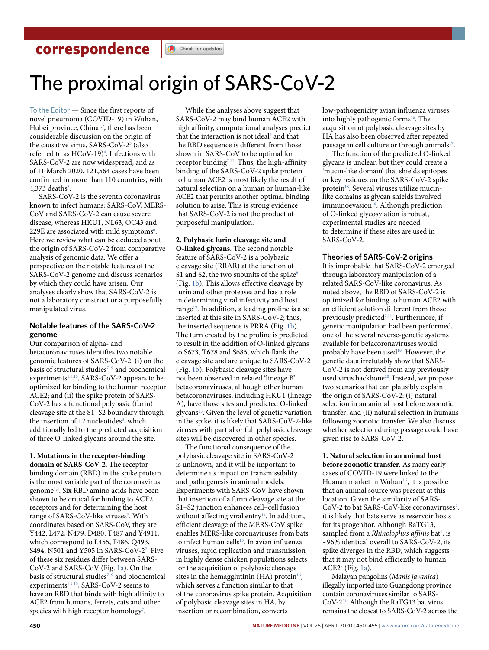# The proximal origin of SARS-CoV-2

To the Editor — Since the first reports of novel pneumonia (COVID-19) in Wuhan, Hubei province, China<sup>1,2</sup>, there has been considerable discussion on the origin of the causative virus, SARS-CoV-2<sup>3</sup> (also referred to as HCoV-19)<sup>4</sup>. Infections with SARS-CoV-2 are now widespread, and as of 11 March 2020, 121,564 cases have been confirmed in more than 110 countries, with  $4,373$  deaths<sup>5</sup>.

SARS-CoV-2 is the seventh coronavirus known to infect humans; SARS-CoV, MERS-CoV and SARS-CoV-2 can cause severe disease, whereas HKU1, NL63, OC43 and 229E are associated with mild symptoms<sup>6</sup>. Here we review what can be deduced about the origin of SARS-CoV-2 from comparative analysis of genomic data. We offer a perspective on the notable features of the SARS-CoV-2 genome and discuss scenarios by which they could have arisen. Our analyses clearly show that SARS-CoV-2 is not a laboratory construct or a purposefully manipulated virus.

## **Notable features of the SARS-CoV-2 genome**

Our comparison of alpha- and betacoronaviruses identifies two notable genomic features of SARS-CoV-2: (i) on the basis of structural studies<sup>7-9</sup> and biochemical experiments<sup>1,9,10</sup>, SARS-CoV-2 appears to be optimized for binding to the human receptor ACE2; and (ii) the spike protein of SARS-CoV-2 has a functional polybasic (furin) cleavage site at the S1–S2 boundary through the insertion of 12 nucleotides<sup>8</sup>, which additionally led to the predicted acquisition of three O-linked glycans around the site.

**1. Mutations in the receptor-binding domain of SARS-CoV-2**. The receptorbinding domain (RBD) in the spike protein is the most variable part of the coronavirus genome1,2 . Six RBD amino acids have been shown to be critical for binding to ACE2 receptors and for determining the host range of SARS-CoV-like viruses<sup>7</sup>. With coordinates based on SARS-CoV, they are Y442, L472, N479, D480, T487 and Y4911, which correspond to L455, F486, Q493, S494, N501 and Y505 in SARS-CoV-2<sup>7</sup>. Five of these six residues differ between SARS-CoV-2 and SARS-CoV (Fig. 1a). On the basis of structural studies<sup>7-9</sup> and biochemical experiments<sup>1,9,10</sup>, SARS-CoV-2 seems to have an RBD that binds with high affinity to ACE2 from humans, ferrets, cats and other species with high receptor homology<sup>7</sup>.

While the analyses above suggest that SARS-CoV-2 may bind human ACE2 with high affinity, computational analyses predict that the interaction is not ideal<sup>7</sup> and that the RBD sequence is different from those shown in SARS-CoV to be optimal for receptor binding<sup>7,11</sup>. Thus, the high-affinity binding of the SARS-CoV-2 spike protein to human ACE2 is most likely the result of natural selection on a human or human-like ACE2 that permits another optimal binding solution to arise. This is strong evidence that SARS-CoV-2 is not the product of purposeful manipulation.

## **2. Polybasic furin cleavage site and**

**O-linked glycans**. The second notable feature of SARS-CoV-2 is a polybasic cleavage site (RRAR) at the junction of S1 and S2, the two subunits of the spike $8$ (Fig. 1b). This allows effective cleavage by furin and other proteases and has a role in determining viral infectivity and host range<sup>12</sup>. In addition, a leading proline is also inserted at this site in SARS-CoV-2; thus, the inserted sequence is PRRA (Fig. 1b). The turn created by the proline is predicted to result in the addition of O-linked glycans to S673, T678 and S686, which flank the cleavage site and are unique to SARS-CoV-2 (Fig. 1b). Polybasic cleavage sites have not been observed in related 'lineage B' betacoronaviruses, although other human betacoronaviruses, including HKU1 (lineage A), have those sites and predicted O-linked glycans<sup>13</sup>. Given the level of genetic variation in the spike, it is likely that SARS-CoV-2-like viruses with partial or full polybasic cleavage sites will be discovered in other species.

The functional consequence of the polybasic cleavage site in SARS-CoV-2 is unknown, and it will be important to determine its impact on transmissibility and pathogenesis in animal models. Experiments with SARS-CoV have shown that insertion of a furin cleavage site at the S1–S2 junction enhances cell–cell fusion without affecting viral entry<sup>14</sup>. In addition, efficient cleavage of the MERS-CoV spike enables MERS-like coronaviruses from bats to infect human cells<sup>15</sup>. In avian influenza viruses, rapid replication and transmission in highly dense chicken populations selects for the acquisition of polybasic cleavage sites in the hemagglutinin (HA) protein<sup>16</sup>, which serves a function similar to that of the coronavirus spike protein. Acquisition of polybasic cleavage sites in HA, by insertion or recombination, converts

low-pathogenicity avian influenza viruses into highly pathogenic forms<sup>16</sup>. The acquisition of polybasic cleavage sites by HA has also been observed after repeated passage in cell culture or through animals<sup>17</sup>.

The function of the predicted O-linked glycans is unclear, but they could create a 'mucin-like domain' that shields epitopes or key residues on the SARS-CoV-2 spike protein<sup>18</sup>. Several viruses utilize mucinlike domains as glycan shields involved immunoevasion<sup>18</sup>. Although prediction of O-linked glycosylation is robust, experimental studies are needed to determine if these sites are used in SARS-CoV-2.

## **Theories of SARS-CoV-2 origins**

It is improbable that SARS-CoV-2 emerged through laboratory manipulation of a related SARS-CoV-like coronavirus. As noted above, the RBD of SARS-CoV-2 is optimized for binding to human ACE2 with an efficient solution different from those previously predicted<sup>7,11</sup>. Furthermore, if genetic manipulation had been performed, one of the several reverse-genetic systems available for betacoronaviruses would probably have been used<sup>19</sup>. However, the genetic data irrefutably show that SARS-CoV-2 is not derived from any previously used virus backbone<sup>20</sup>. Instead, we propose two scenarios that can plausibly explain the origin of SARS-CoV-2: (i) natural selection in an animal host before zoonotic transfer; and (ii) natural selection in humans following zoonotic transfer. We also discuss whether selection during passage could have given rise to SARS-CoV-2.

**1. Natural selection in an animal host before zoonotic transfer**. As many early cases of COVID-19 were linked to the Huanan market in Wuhan<sup>1,2</sup>, it is possible that an animal source was present at this location. Given the similarity of SARS-CoV-2 to bat SARS-CoV-like coronaviruses<sup>2</sup>, it is likely that bats serve as reservoir hosts for its progenitor. Although RaTG13, sampled from a *Rhinolophus affinis* bat<sup>1</sup>, is ~96% identical overall to SARS-CoV-2, its spike diverges in the RBD, which suggests that it may not bind efficiently to human ACE27 (Fig. 1a).

Malayan pangolins (*Manis javanica*) illegally imported into Guangdong province contain coronaviruses similar to SARS-CoV-221. Although the RaTG13 bat virus remains the closest to SARS-CoV-2 across the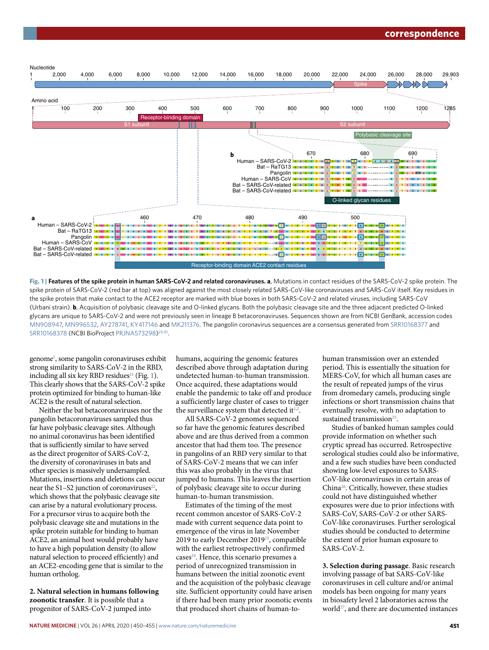

**Fig. 1 | Features of the spike protein in human SARS-CoV-2 and related coronaviruses. a**, Mutations in contact residues of the SARS-CoV-2 spike protein. The spike protein of SARS-CoV-2 (red bar at top) was aligned against the most closely related SARS-CoV-like coronaviruses and SARS-CoV itself. Key residues in the spike protein that make contact to the ACE2 receptor are marked with blue boxes in both SARS-CoV-2 and related viruses, including SARS-CoV (Urbani strain). **b**, Acquisition of polybasic cleavage site and O-linked glycans. Both the polybasic cleavage site and the three adjacent predicted O-linked glycans are unique to SARS-CoV-2 and were not previously seen in lineage B betacoronaviruses. Sequences shown are from NCBI GenBank, accession codes [MN908947](https://www.ncbi.nlm.nih.gov/nuccore/MN908947), [MN996532](https://www.ncbi.nlm.nih.gov/nuccore/MN996532), [AY278741](https://www.ncbi.nlm.nih.gov/nuccore/AY278741), [KY417146](https://www.ncbi.nlm.nih.gov/nuccore/KY417146) and [MK211376](https://www.ncbi.nlm.nih.gov/nuccore/MK211376). The pangolin coronavirus sequences are a consensus generated from [SRR10168377](https://www.ncbi.nlm.nih.gov/sra/SRR10168377/) and [SRR10168378](https://www.ncbi.nlm.nih.gov/sra/?term=SRR10168378) (NCBI BioProject [PRJNA573298\)](https://www.ncbi.nlm.nih.gov/bioproject/?term=PRJNA573298)<sup>29,30</sup>.

genome<sup>1</sup>, some pangolin coronaviruses exhibit strong similarity to SARS-CoV-2 in the RBD, including all six key RBD residues<sup>21</sup> (Fig. 1). This clearly shows that the SARS-CoV-2 spike protein optimized for binding to human-like ACE2 is the result of natural selection.

Neither the bat betacoronaviruses nor the pangolin betacoronaviruses sampled thus far have polybasic cleavage sites. Although no animal coronavirus has been identified that is sufficiently similar to have served as the direct progenitor of SARS-CoV-2, the diversity of coronaviruses in bats and other species is massively undersampled. Mutations, insertions and deletions can occur near the S1–S2 junction of coronaviruses $22$ , which shows that the polybasic cleavage site can arise by a natural evolutionary process. For a precursor virus to acquire both the polybasic cleavage site and mutations in the spike protein suitable for binding to human ACE2, an animal host would probably have to have a high population density (to allow natural selection to proceed efficiently) and an ACE2-encoding gene that is similar to the human ortholog.

**2. Natural selection in humans following zoonotic transfer**. It is possible that a progenitor of SARS-CoV-2 jumped into

humans, acquiring the genomic features described above through adaptation during undetected human-to-human transmission. Once acquired, these adaptations would enable the pandemic to take off and produce a sufficiently large cluster of cases to trigger the surveillance system that detected it $1,2$ .

All SARS-CoV-2 genomes sequenced so far have the genomic features described above and are thus derived from a common ancestor that had them too. The presence in pangolins of an RBD very similar to that of SARS-CoV-2 means that we can infer this was also probably in the virus that jumped to humans. This leaves the insertion of polybasic cleavage site to occur during human-to-human transmission.

Estimates of the timing of the most recent common ancestor of SARS-CoV-2 made with current sequence data point to emergence of the virus in late November 2019 to early December 201923, compatible with the earliest retrospectively confirmed cases<sup>24</sup>. Hence, this scenario presumes a period of unrecognized transmission in humans between the initial zoonotic event and the acquisition of the polybasic cleavage site. Sufficient opportunity could have arisen if there had been many prior zoonotic events that produced short chains of human-tohuman transmission over an extended period. This is essentially the situation for MERS-CoV, for which all human cases are the result of repeated jumps of the virus from dromedary camels, producing single infections or short transmission chains that eventually resolve, with no adaptation to sustained transmission<sup>25</sup>.

Studies of banked human samples could provide information on whether such cryptic spread has occurred. Retrospective serological studies could also be informative, and a few such studies have been conducted showing low-level exposures to SARS-CoV-like coronaviruses in certain areas of China26. Critically, however, these studies could not have distinguished whether exposures were due to prior infections with SARS-CoV, SARS-CoV-2 or other SARS-CoV-like coronaviruses. Further serological studies should be conducted to determine the extent of prior human exposure to SARS-CoV-2.

**3. Selection during passage**. Basic research involving passage of bat SARS-CoV-like coronaviruses in cell culture and/or animal models has been ongoing for many years in biosafety level 2 laboratories across the world27, and there are documented instances